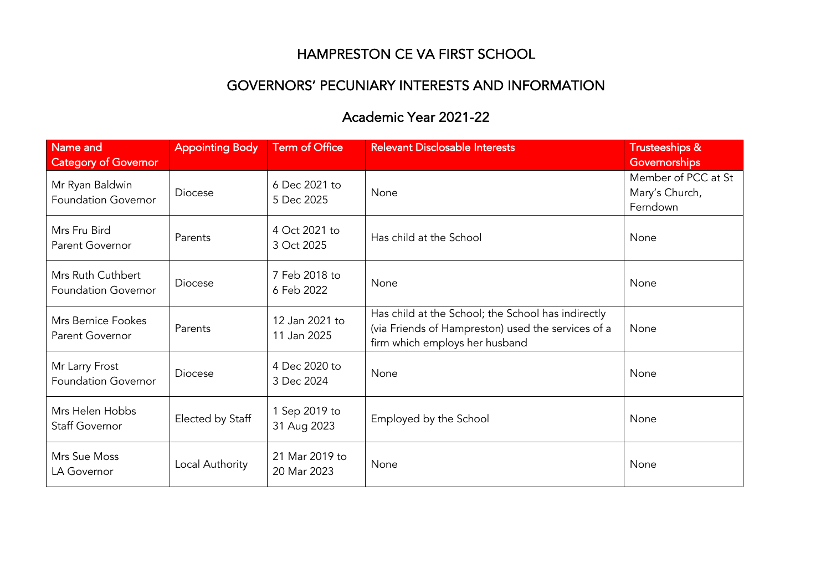## HAMPRESTON CE VA FIRST SCHOOL

## GOVERNORS' PECUNIARY INTERESTS AND INFORMATION

## Academic Year 2021-22

| Name and                                        | <b>Appointing Body</b> | <b>Term of Office</b>         | <b>Relevant Disclosable Interests</b>                                                                                                      | <b>Trusteeships &amp;</b>             |
|-------------------------------------------------|------------------------|-------------------------------|--------------------------------------------------------------------------------------------------------------------------------------------|---------------------------------------|
| <b>Category of Governor</b>                     |                        |                               |                                                                                                                                            | Governorships                         |
| Mr Ryan Baldwin<br><b>Foundation Governor</b>   | <b>Diocese</b>         | 6 Dec 2021 to<br>5 Dec 2025   | None                                                                                                                                       | Member of PCC at St<br>Mary's Church, |
|                                                 |                        |                               |                                                                                                                                            | Ferndown                              |
| Mrs Fru Bird<br>Parent Governor                 | Parents                | 4 Oct 2021 to<br>3 Oct 2025   | Has child at the School                                                                                                                    | None                                  |
| Mrs Ruth Cuthbert<br><b>Foundation Governor</b> | <b>Diocese</b>         | 7 Feb 2018 to<br>6 Feb 2022   | None                                                                                                                                       | None                                  |
| Mrs Bernice Fookes<br>Parent Governor           | Parents                | 12 Jan 2021 to<br>11 Jan 2025 | Has child at the School; the School has indirectly<br>(via Friends of Hampreston) used the services of a<br>firm which employs her husband | None                                  |
| Mr Larry Frost<br><b>Foundation Governor</b>    | <b>Diocese</b>         | 4 Dec 2020 to<br>3 Dec 2024   | None                                                                                                                                       | None                                  |
| Mrs Helen Hobbs<br><b>Staff Governor</b>        | Elected by Staff       | 1 Sep 2019 to<br>31 Aug 2023  | Employed by the School                                                                                                                     | None                                  |
| Mrs Sue Moss<br>LA Governor                     | Local Authority        | 21 Mar 2019 to<br>20 Mar 2023 | None                                                                                                                                       | None                                  |